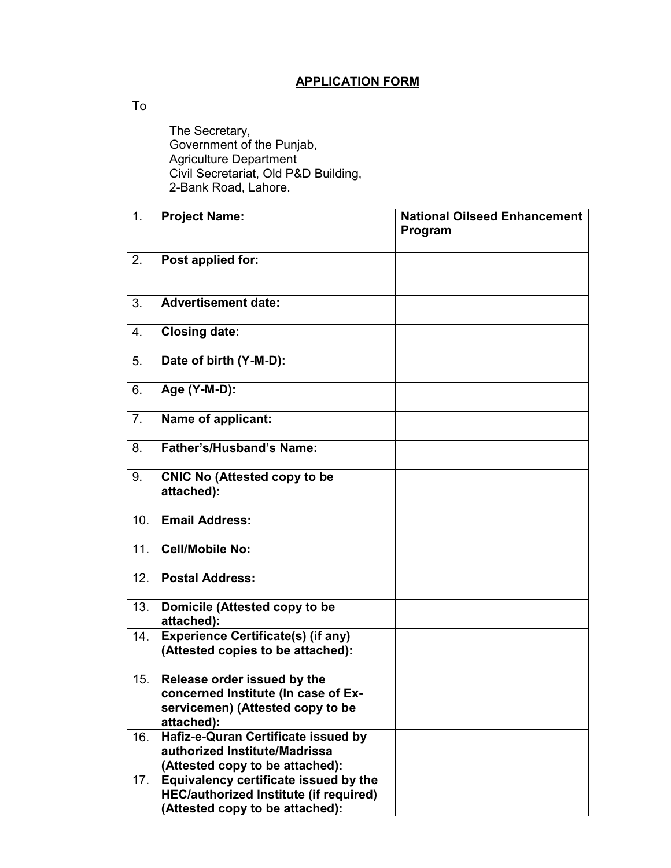## **APPLICATION FORM**

To

 The Secretary, Government of the Punjab, Agriculture Department Civil Secretariat, Old P&D Building, 2-Bank Road, Lahore.

| 1.  | <b>Project Name:</b>                                                                                                      | <b>National Oilseed Enhancement</b><br>Program |
|-----|---------------------------------------------------------------------------------------------------------------------------|------------------------------------------------|
| 2.  | Post applied for:                                                                                                         |                                                |
| 3.  | <b>Advertisement date:</b>                                                                                                |                                                |
| 4.  | <b>Closing date:</b>                                                                                                      |                                                |
| 5.  | Date of birth (Y-M-D):                                                                                                    |                                                |
| 6.  | Age (Y-M-D):                                                                                                              |                                                |
| 7.  | Name of applicant:                                                                                                        |                                                |
| 8.  | Father's/Husband's Name:                                                                                                  |                                                |
| 9.  | <b>CNIC No (Attested copy to be</b><br>attached):                                                                         |                                                |
| 10. | <b>Email Address:</b>                                                                                                     |                                                |
| 11. | <b>Cell/Mobile No:</b>                                                                                                    |                                                |
| 12. | <b>Postal Address:</b>                                                                                                    |                                                |
| 13. | Domicile (Attested copy to be<br>attached):                                                                               |                                                |
| 14. | <b>Experience Certificate(s) (if any)</b><br>(Attested copies to be attached):                                            |                                                |
| 15. | Release order issued by the<br>concerned Institute (In case of Ex-<br>servicemen) (Attested copy to be<br>attached):      |                                                |
| 16. | Hafiz-e-Quran Certificate issued by<br>authorized Institute/Madrissa<br>(Attested copy to be attached):                   |                                                |
| 17. | Equivalency certificate issued by the<br><b>HEC/authorized Institute (if required)</b><br>(Attested copy to be attached): |                                                |